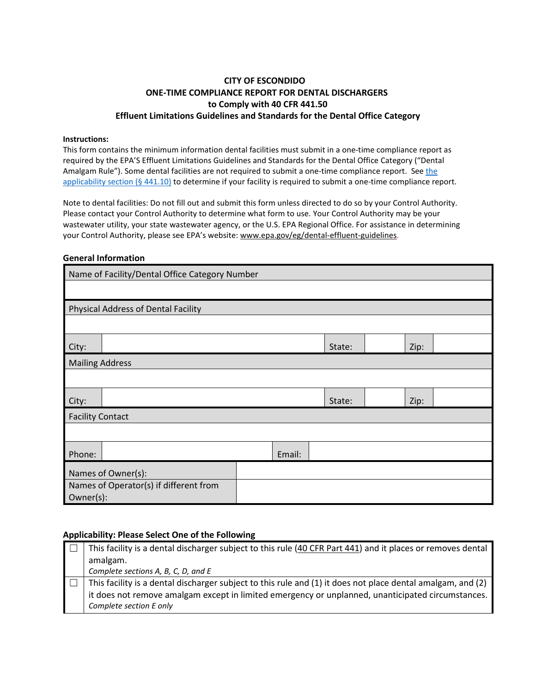## **CITY OF ESCONDIDO ONE-TIME COMPLIANCE REPORT FOR DENTAL DISCHARGERS to Comply with 40 CFR 441.50 Effluent Limitations Guidelines and Standards for the Dental Office Category**

#### **Instructions:**

This form contains the minimum information dental facilities must submit in a one-time compliance report as required by the EPA'S Effluent Limitations Guidelines and Standards for the Dental Office Category ("Dental Amalgam Rule"). Some dental facilities are not required to submit a one-time compliance report. See the applicability [section \(§ 441.10\)](https://www.federalregister.gov/d/2017-12338/p-264) to determine if your facility is required to submit a one-time compliance report.

Note to dental facilities: Do not fill out and submit this form unless directed to do so by your Control Authority. Please contact your Control Authority to determine what form to use. Your Control Authority may be your wastewater utility, your state wastewater agency, or the U.S. EPA Regional Office. For assistance in determining your Control Authority, please see EPA's website[: www.epa.gov/eg/dental-effluent-guidelines.](https://www.epa.gov/eg/dental-effluent-guidelines)

#### **General Information**

| Name of Facility/Dental Office Category Number |                                                     |  |        |        |      |      |  |
|------------------------------------------------|-----------------------------------------------------|--|--------|--------|------|------|--|
|                                                |                                                     |  |        |        |      |      |  |
|                                                | <b>Physical Address of Dental Facility</b>          |  |        |        |      |      |  |
|                                                |                                                     |  |        |        |      |      |  |
| City:                                          |                                                     |  |        | State: |      | Zip: |  |
| <b>Mailing Address</b>                         |                                                     |  |        |        |      |      |  |
|                                                |                                                     |  |        |        |      |      |  |
| City:                                          |                                                     |  | State: |        | Zip: |      |  |
| <b>Facility Contact</b>                        |                                                     |  |        |        |      |      |  |
|                                                |                                                     |  |        |        |      |      |  |
| Phone:                                         | Email:                                              |  |        |        |      |      |  |
| Names of Owner(s):                             |                                                     |  |        |        |      |      |  |
|                                                | Names of Operator(s) if different from<br>Owner(s): |  |        |        |      |      |  |

#### **Applicability: Please Select One of the Following**

| This facility is a dental discharger subject to this rule (40 CFR Part 441) and it places or removes dental |
|-------------------------------------------------------------------------------------------------------------|
| amalgam.                                                                                                    |
| Complete sections A, B, C, D, and E                                                                         |
| This facility is a dental discharger subject to this rule and (1) it does not place dental amalgam, and (2) |
| it does not remove amalgam except in limited emergency or unplanned, unanticipated circumstances.           |
| Complete section E only                                                                                     |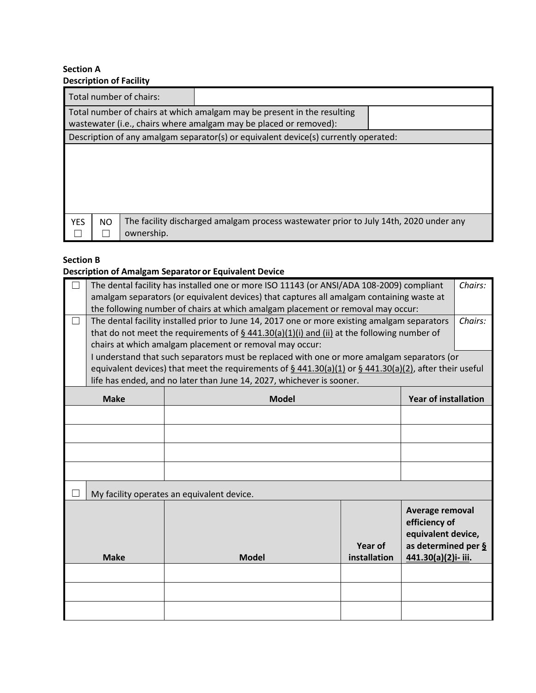### **Section A Description of Facility**

| Total number of chairs: |                                                                                                                                              |  |  |  |  |
|-------------------------|----------------------------------------------------------------------------------------------------------------------------------------------|--|--|--|--|
|                         | Total number of chairs at which amalgam may be present in the resulting<br>wastewater (i.e., chairs where amalgam may be placed or removed): |  |  |  |  |
|                         | Description of any amalgam separator(s) or equivalent device(s) currently operated:                                                          |  |  |  |  |
|                         |                                                                                                                                              |  |  |  |  |
| <b>YES</b><br>NO        | The facility discharged amalgam process wastewater prior to July 14th, 2020 under any<br>ownership.                                          |  |  |  |  |

# **Section B**

## **Description of Amalgam Separator or Equivalent Device**

|             | The dental facility has installed one or more ISO 11143 (or ANSI/ADA 108-2009) compliant                                                                                    |                                                                                                                                |              |                             | Chairs: |
|-------------|-----------------------------------------------------------------------------------------------------------------------------------------------------------------------------|--------------------------------------------------------------------------------------------------------------------------------|--------------|-----------------------------|---------|
|             | amalgam separators (or equivalent devices) that captures all amalgam containing waste at<br>the following number of chairs at which amalgam placement or removal may occur: |                                                                                                                                |              |                             |         |
| $\Box$      | The dental facility installed prior to June 14, 2017 one or more existing amalgam separators                                                                                |                                                                                                                                |              |                             | Chairs: |
|             |                                                                                                                                                                             | that do not meet the requirements of $\frac{6}{441.30(a)(1)(i)}$ and (ii) at the following number of                           |              |                             |         |
|             |                                                                                                                                                                             | chairs at which amalgam placement or removal may occur:                                                                        |              |                             |         |
|             |                                                                                                                                                                             | I understand that such separators must be replaced with one or more amalgam separators (or                                     |              |                             |         |
|             |                                                                                                                                                                             | equivalent devices) that meet the requirements of $\frac{6}{9}$ 441.30(a)(1) or $\frac{6}{9}$ 441.30(a)(2), after their useful |              |                             |         |
|             |                                                                                                                                                                             | life has ended, and no later than June 14, 2027, whichever is sooner.                                                          |              |                             |         |
|             | <b>Make</b>                                                                                                                                                                 | <b>Model</b>                                                                                                                   |              | <b>Year of installation</b> |         |
|             |                                                                                                                                                                             |                                                                                                                                |              |                             |         |
|             |                                                                                                                                                                             |                                                                                                                                |              |                             |         |
|             |                                                                                                                                                                             |                                                                                                                                |              |                             |         |
|             |                                                                                                                                                                             |                                                                                                                                |              |                             |         |
|             | My facility operates an equivalent device.                                                                                                                                  |                                                                                                                                |              |                             |         |
|             |                                                                                                                                                                             |                                                                                                                                |              | Average removal             |         |
|             |                                                                                                                                                                             |                                                                                                                                |              | efficiency of               |         |
|             |                                                                                                                                                                             |                                                                                                                                |              | equivalent device,          |         |
|             |                                                                                                                                                                             |                                                                                                                                | Year of      | as determined per §         |         |
| <b>Make</b> |                                                                                                                                                                             | <b>Model</b>                                                                                                                   | installation | 441.30(a)(2)i- iii.         |         |
|             |                                                                                                                                                                             |                                                                                                                                |              |                             |         |
|             |                                                                                                                                                                             |                                                                                                                                |              |                             |         |
|             |                                                                                                                                                                             |                                                                                                                                |              |                             |         |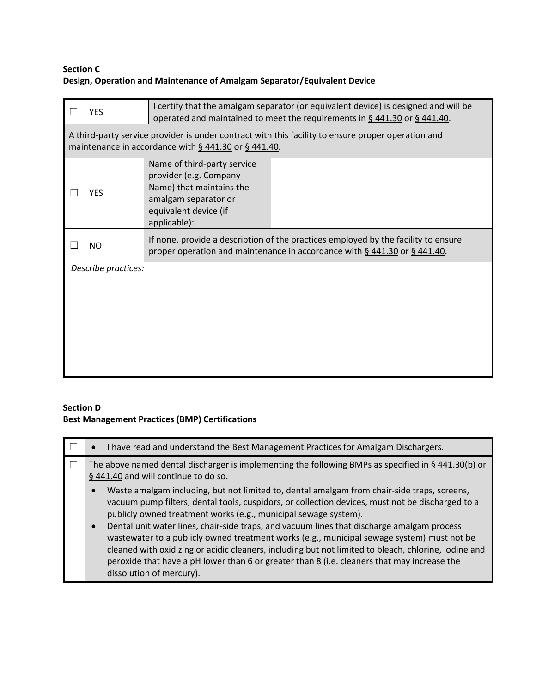# **Section C Design, Operation and Maintenance of Amalgam Separator/Equivalent Device**

| <b>YES</b>                                                                                                                                                 | I certify that the amalgam separator (or equivalent device) is designed and will be<br>operated and maintained to meet the requirements in § 441.30 or § 441.40. |  |  |
|------------------------------------------------------------------------------------------------------------------------------------------------------------|------------------------------------------------------------------------------------------------------------------------------------------------------------------|--|--|
| A third-party service provider is under contract with this facility to ensure proper operation and<br>maintenance in accordance with § 441.30 or § 441.40. |                                                                                                                                                                  |  |  |
| <b>YES</b>                                                                                                                                                 | Name of third-party service<br>provider (e.g. Company<br>Name) that maintains the<br>amalgam separator or<br>equivalent device (if<br>applicable):               |  |  |
| <b>NO</b>                                                                                                                                                  | If none, provide a description of the practices employed by the facility to ensure<br>proper operation and maintenance in accordance with § 441.30 or § 441.40.  |  |  |
| Describe practices:                                                                                                                                        |                                                                                                                                                                  |  |  |
|                                                                                                                                                            |                                                                                                                                                                  |  |  |
|                                                                                                                                                            |                                                                                                                                                                  |  |  |
|                                                                                                                                                            |                                                                                                                                                                  |  |  |
|                                                                                                                                                            |                                                                                                                                                                  |  |  |
|                                                                                                                                                            |                                                                                                                                                                  |  |  |
|                                                                                                                                                            |                                                                                                                                                                  |  |  |
|                                                                                                                                                            |                                                                                                                                                                  |  |  |

# **Section D Best Management Practices (BMP) Certifications**

| I have read and understand the Best Management Practices for Amalgam Dischargers.                                                                                                                                                                                                                                                                                                                                                                                                                                                                                                                                                                                                                              |
|----------------------------------------------------------------------------------------------------------------------------------------------------------------------------------------------------------------------------------------------------------------------------------------------------------------------------------------------------------------------------------------------------------------------------------------------------------------------------------------------------------------------------------------------------------------------------------------------------------------------------------------------------------------------------------------------------------------|
| The above named dental discharger is implementing the following BMPs as specified in $\S$ 441.30(b) or<br>§ 441.40 and will continue to do so.                                                                                                                                                                                                                                                                                                                                                                                                                                                                                                                                                                 |
| Waste amalgam including, but not limited to, dental amalgam from chair-side traps, screens,<br>vacuum pump filters, dental tools, cuspidors, or collection devices, must not be discharged to a<br>publicly owned treatment works (e.g., municipal sewage system).<br>Dental unit water lines, chair-side traps, and vacuum lines that discharge amalgam process<br>$\bullet$<br>wastewater to a publicly owned treatment works (e.g., municipal sewage system) must not be<br>cleaned with oxidizing or acidic cleaners, including but not limited to bleach, chlorine, iodine and<br>peroxide that have a pH lower than 6 or greater than 8 (i.e. cleaners that may increase the<br>dissolution of mercury). |